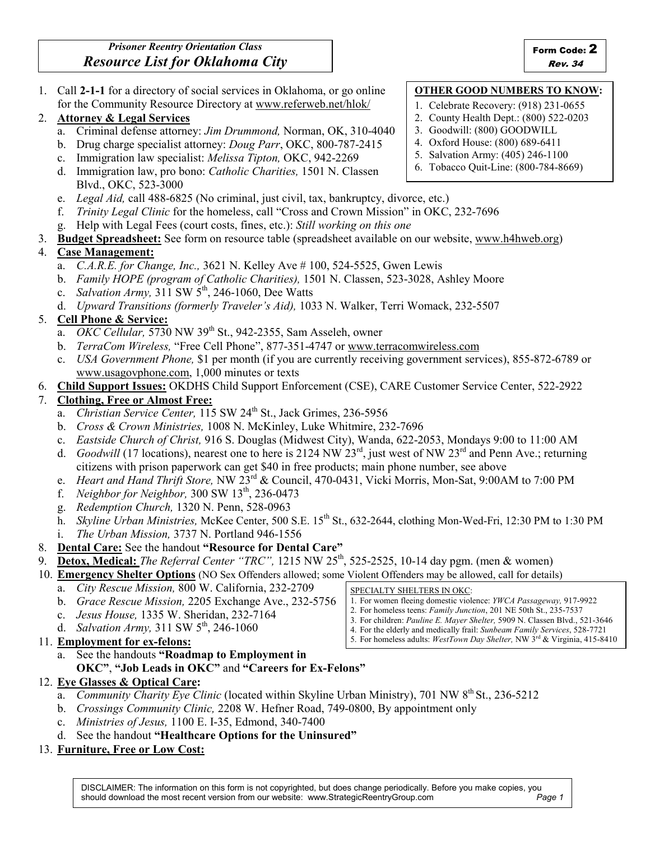1. Call 2-1-1 for a directory of social services in Oklahoma, or go online for the Community Resource Directory at www.referweb.net/hlok/

### 2. Attorney & Legal Services

- a. Criminal defense attorney: Jim Drummond, Norman, OK, 310-4040
- b. Drug charge specialist attorney: Doug Parr, OKC, 800-787-2415
- c. Immigration law specialist: Melissa Tipton, OKC, 942-2269
- d. Immigration law, pro bono: Catholic Charities, 1501 N. Classen Blvd., OKC, 523-3000
- e. Legal Aid, call 488-6825 (No criminal, just civil, tax, bankruptcy, divorce, etc.)
- f. Trinity Legal Clinic for the homeless, call "Cross and Crown Mission" in OKC, 232-7696
- g. Help with Legal Fees (court costs, fines, etc.): Still working on this one
- 3. Budget Spreadsheet: See form on resource table (spreadsheet available on our website, www.h4hweb.org)

### 4. Case Management:

- a. *C.A.R.E. for Change, Inc.*, 3621 N. Kelley Ave  $\# 100$ , 524-5525, Gwen Lewis
- b. Family HOPE (program of Catholic Charities), 1501 N. Classen, 523-3028, Ashley Moore
- c. Salvation Army,  $311 \text{ SW } 5^{\text{th}}$ , 246-1060, Dee Watts
- d. Upward Transitions (formerly Traveler's Aid), 1033 N. Walker, Terri Womack, 232-5507

### 5. Cell Phone & Service:

- a. *OKC Cellular*, 5730 NW 39<sup>th</sup> St., 942-2355, Sam Asseleh, owner
- b. TerraCom Wireless, "Free Cell Phone", 877-351-4747 or www.terracomwireless.com
- c. USA Government Phone, \$1 per month (if you are currently receiving government services), 855-872-6789 or www.usagovphone.com, 1,000 minutes or texts
- 6. Child Support Issues: OKDHS Child Support Enforcement (CSE), CARE Customer Service Center, 522-2922

### 7. Clothing, Free or Almost Free:

- a. Christian Service Center, 115 SW 24<sup>th</sup> St., Jack Grimes, 236-5956
- b. Cross & Crown Ministries, 1008 N. McKinley, Luke Whitmire, 232-7696
- c. Eastside Church of Christ, 916 S. Douglas (Midwest City), Wanda, 622-2053, Mondays 9:00 to 11:00 AM
- d. Goodwill (17 locations), nearest one to here is 2124 NW 23<sup>rd</sup>, just west of NW 23<sup>rd</sup> and Penn Ave.; returning citizens with prison paperwork can get \$40 in free products; main phone number, see above
- e. Heart and Hand Thrift Store, NW 23<sup>rd</sup> & Council, 470-0431, Vicki Morris, Mon-Sat, 9:00AM to 7:00 PM
- f. Neighbor for Neighbor,  $300 \text{ SW } 13^{\text{th}}$ ,  $236-0473$
- g. Redemption Church, 1320 N. Penn, 528-0963
- h. Skyline Urban Ministries, McKee Center, 500 S.E. 15<sup>th</sup> St., 632-2644, clothing Mon-Wed-Fri, 12:30 PM to 1:30 PM
- i. The Urban Mission, 3737 N. Portland 946-1556

#### 8. Dental Care: See the handout "Resource for Dental Care"

9. Detox, Medical: The Referral Center "TRC", 1215 NW 25<sup>th</sup>, 525-2525, 10-14 day pgm. (men & women)

10. **Emergency Shelter Options** (NO Sex Offenders allowed; some Violent Offenders may be allowed, call for details)

- a. City Rescue Mission, 800 W. California, 232-2709
- b. Grace Rescue Mission, 2205 Exchange Ave., 232-5756
- c. Jesus House, 1335 W. Sheridan, 232-7164
- d. *Salvation Army*,  $311 \, \text{SW } 5^{\text{th}}$ ,  $246-1060$
- 11. Employment for ex-felons:
	- a. See the handouts "Roadmap to Employment in
		- OKC", "Job Leads in OKC" and "Careers for Ex-Felons"

## 12. Eye Glasses & Optical Care:

- a. Community Charity Eye Clinic (located within Skyline Urban Ministry), 701 NW 8<sup>th</sup> St., 236-5212
- b. Crossings Community Clinic, 2208 W. Hefner Road, 749-0800, By appointment only
- c. Ministries of Jesus, 1100 E. I-35, Edmond, 340-7400
- d. See the handout "Healthcare Options for the Uninsured"

# 13. Furniture, Free or Low Cost:

- SPECIALTY SHELTERS IN OKC:
- 1. For women fleeing domestic violence: YWCA Passageway, 917-9922
- 2. For homeless teens: Family Junction, 201 NE 50th St., 235-7537
- 3. For children: Pauline E. Mayer Shelter, 5909 N. Classen Blvd., 521-3646
- 4. For the elderly and medically frail: Sunbeam Family Services, 528-7721 5. For homeless adults: WestTown Day Shelter, NW 3<sup>rd</sup> & Virginia, 415-8410

1. Celebrate Recovery: (918) 231-0655 2. County Health Dept.: (800) 522-0203 3. Goodwill: (800) GOODWILL

OTHER GOOD NUMBERS TO KNOW:

- 4. Oxford House: (800) 689-6411
- 5. Salvation Army: (405) 246-1100
- 6. Tobacco Quit-Line: (800-784-8669)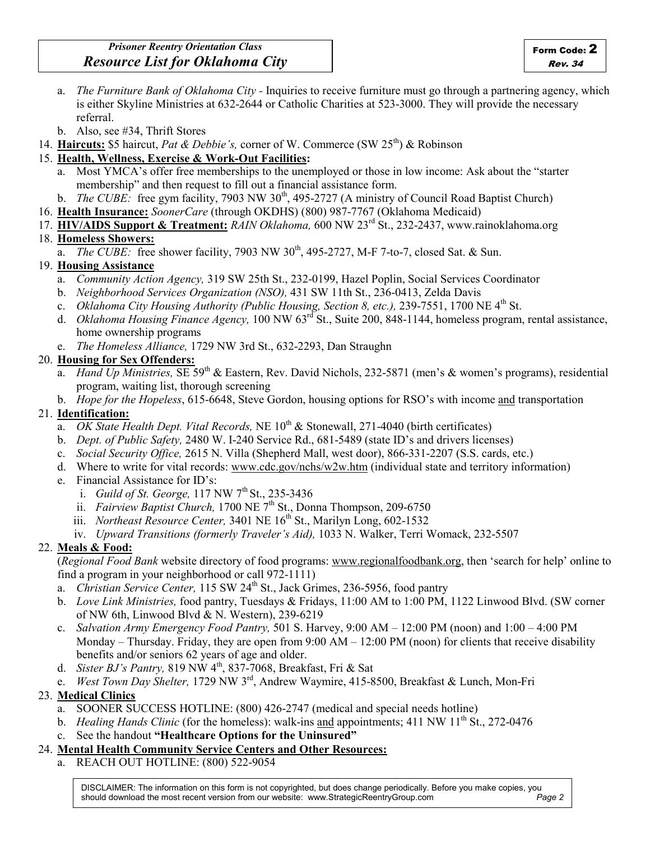- a. The Furniture Bank of Oklahoma City Inquiries to receive furniture must go through a partnering agency, which is either Skyline Ministries at 632-2644 or Catholic Charities at 523-3000. They will provide the necessary referral.
- b. Also, see #34, Thrift Stores
- 14. Haircuts: \$5 haircut, Pat & Debbie's, corner of W. Commerce (SW 25<sup>th</sup>) & Robinson
- 15. Health, Wellness, Exercise & Work-Out Facilities:
	- a. Most YMCA's offer free memberships to the unemployed or those in low income: Ask about the "starter membership" and then request to fill out a financial assistance form.
	- b. *The CUBE*: free gym facility, 7903 NW  $30<sup>th</sup>$ , 495-2727 (A ministry of Council Road Baptist Church)
- 16. Health Insurance: SoonerCare (through OKDHS) (800) 987-7767 (Oklahoma Medicaid)
- 17. HIV/AIDS Support & Treatment: RAIN Oklahoma, 600 NW 23<sup>rd</sup> St., 232-2437, www.rainoklahoma.org

### 18. Homeless Showers:

a. The CUBE: free shower facility, 7903 NW  $30<sup>th</sup>$ , 495-2727, M-F 7-to-7, closed Sat. & Sun.

### 19. Housing Assistance

- a. Community Action Agency, 319 SW 25th St., 232-0199, Hazel Poplin, Social Services Coordinator
- b. Neighborhood Services Organization (NSO), 431 SW 11th St., 236-0413, Zelda Davis
- c. Oklahoma City Housing Authority (Public Housing, Section 8, etc.), 239-7551, 1700 NE 4<sup>th</sup> St.
- d. *Oklahoma Housing Finance Agency*, 100 NW  $63^{\text{rd}}$  St., Suite 200, 848-1144, homeless program, rental assistance, home ownership programs
- e. The Homeless Alliance, 1729 NW 3rd St., 632-2293, Dan Straughn

### 20. Housing for Sex Offenders:

- a. Hand Up Ministries, SE 59<sup>th</sup> & Eastern, Rev. David Nichols, 232-5871 (men's & women's programs), residential program, waiting list, thorough screening
- b. Hope for the Hopeless, 615-6648, Steve Gordon, housing options for RSO's with income and transportation

### 21. Identification:

- a. *OK State Health Dept. Vital Records*, NE  $10^{th}$  & Stonewall, 271-4040 (birth certificates)
- b. Dept. of Public Safety, 2480 W. I-240 Service Rd., 681-5489 (state ID's and drivers licenses)
- c. Social Security Office, 2615 N. Villa (Shepherd Mall, west door), 866-331-2207 (S.S. cards, etc.)
- d. Where to write for vital records: www.cdc.gov/nchs/w2w.htm (individual state and territory information)
- e. Financial Assistance for ID's:
	- i. Guild of St. George,  $117$  NW  $7<sup>th</sup>$  St., 235-3436
	- ii. Fairview Baptist Church, 1700 NE  $7<sup>th</sup>$  St., Donna Thompson, 209-6750
	- iii. Northeast Resource Center, 3401 NE  $16<sup>th</sup>$  St., Marilyn Long, 602-1532
	- iv. Upward Transitions (formerly Traveler's Aid), 1033 N. Walker, Terri Womack, 232-5507

### 22. Meals & Food:

(Regional Food Bank website directory of food programs: www.regionalfoodbank.org, then 'search for help' online to find a program in your neighborhood or call 972-1111)

- a. Christian Service Center, 115 SW 24<sup>th</sup> St., Jack Grimes, 236-5956, food pantry
- b. Love Link Ministries, food pantry, Tuesdays & Fridays, 11:00 AM to 1:00 PM, 1122 Linwood Blvd. (SW corner of NW 6th, Linwood Blvd & N. Western), 239-6219
- c. Salvation Army Emergency Food Pantry, 501 S. Harvey, 9:00 AM 12:00 PM (noon) and  $1:00 4:00$  PM Monday – Thursday. Friday, they are open from  $9:00 \text{ AM} - 12:00 \text{ PM (noon)}$  for clients that receive disability benefits and/or seniors 62 years of age and older.
- d. Sister BJ's Pantry, 819 NW 4th, 837-7068, Breakfast, Fri & Sat
- e. West Town Day Shelter, 1729 NW 3rd, Andrew Waymire, 415-8500, Breakfast & Lunch, Mon-Fri

### 23. Medical Clinics

- a. SOONER SUCCESS HOTLINE: (800) 426-2747 (medical and special needs hotline)
- b. *Healing Hands Clinic* (for the homeless): walk-ins and appointments; 411 NW 11<sup>th</sup> St., 272-0476
- c. See the handout "Healthcare Options for the Uninsured"

#### 24. Mental Health Community Service Centers and Other Resources:

a. REACH OUT HOTLINE: (800) 522-9054

DISCLAIMER: The information on this form is not copyrighted, but does change periodically. Before you make copies, you should download the most recent version from our website: www.StrategicReentryGroup.com Page 2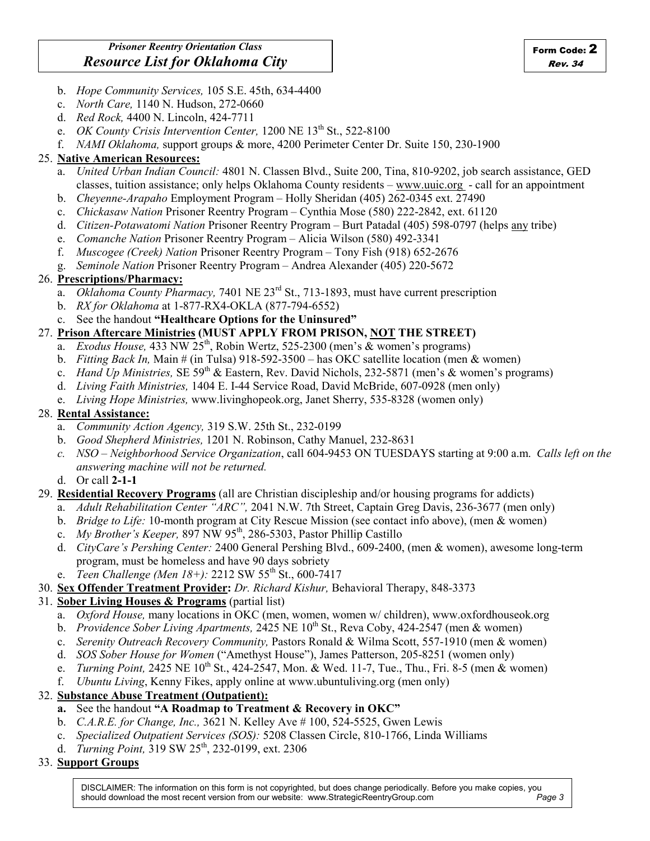- b. Hope Community Services, 105 S.E. 45th, 634-4400
- c. North Care, 1140 N. Hudson, 272-0660
- d. Red Rock, 4400 N. Lincoln, 424-7711
- e. OK County Crisis Intervention Center,  $1200$  NE  $13<sup>th</sup>$  St., 522-8100
- f. NAMI Oklahoma, support groups & more, 4200 Perimeter Center Dr. Suite 150, 230-1900

#### 25. Native American Resources:

- a. United Urban Indian Council: 4801 N. Classen Blvd., Suite 200, Tina, 810-9202, job search assistance, GED classes, tuition assistance; only helps Oklahoma County residents – www.uuic.org - call for an appointment
- b. Cheyenne-Arapaho Employment Program Holly Sheridan (405) 262-0345 ext. 27490
- c. Chickasaw Nation Prisoner Reentry Program Cynthia Mose (580) 222-2842, ext. 61120
- d. Citizen-Potawatomi Nation Prisoner Reentry Program Burt Patadal (405) 598-0797 (helps any tribe)
- e. Comanche Nation Prisoner Reentry Program Alicia Wilson (580) 492-3341
- f. Muscogee (Creek) Nation Prisoner Reentry Program Tony Fish (918) 652-2676
- g. Seminole Nation Prisoner Reentry Program Andrea Alexander (405) 220-5672

#### 26. Prescriptions/Pharmacy:

- a. Oklahoma County Pharmacy, 7401 NE 23<sup>rd</sup> St., 713-1893, must have current prescription
- b. RX for Oklahoma at 1-877-RX4-OKLA (877-794-6552)
- c. See the handout "Healthcare Options for the Uninsured"

### 27. Prison Aftercare Ministries (MUST APPLY FROM PRISON, NOT THE STREET)

- a. Exodus House, 433 NW 25<sup>th</sup>, Robin Wertz, 525-2300 (men's & women's programs)
- b. Fitting Back In, Main # (in Tulsa) 918-592-3500 has OKC satellite location (men & women)
- c. *Hand Up Ministries*, SE 59<sup>th</sup> & Eastern, Rev. David Nichols, 232-5871 (men's & women's programs)
- d. Living Faith Ministries, 1404 E. I-44 Service Road, David McBride, 607-0928 (men only)
- e. Living Hope Ministries, www.livinghopeok.org, Janet Sherry, 535-8328 (women only)

#### 28. Rental Assistance:

- a. Community Action Agency, 319 S.W. 25th St., 232-0199
- b. Good Shepherd Ministries, 1201 N. Robinson, Cathy Manuel, 232-8631
- c. NSO Neighborhood Service Organization, call 604-9453 ON TUESDAYS starting at 9:00 a.m. Calls left on the answering machine will not be returned.
- d. Or call 2-1-1

#### 29. Residential Recovery Programs (all are Christian discipleship and/or housing programs for addicts)

- a. Adult Rehabilitation Center "ARC", 2041 N.W. 7th Street, Captain Greg Davis, 236-3677 (men only)
- b. Bridge to Life: 10-month program at City Rescue Mission (see contact info above), (men & women)
- c. My Brother's Keeper,  $897$  NW  $95<sup>th</sup>$ ,  $286-5303$ , Pastor Phillip Castillo
- d. CityCare's Pershing Center: 2400 General Pershing Blvd., 609-2400, (men & women), awesome long-term program, must be homeless and have 90 days sobriety
- e. Teen Challenge (Men 18+): 2212 SW 55<sup>th</sup> St., 600-7417
- 30. Sex Offender Treatment Provider: Dr. Richard Kishur, Behavioral Therapy, 848-3373

#### 31. Sober Living Houses & Programs (partial list)

- a. Oxford House, many locations in OKC (men, women, women w/ children), www.oxfordhouseok.org
- b. Providence Sober Living Apartments, 2425 NE  $10^{th}$  St., Reva Coby, 424-2547 (men & women)
- c. Serenity Outreach Recovery Community, Pastors Ronald & Wilma Scott, 557-1910 (men & women)
- d. SOS Sober House for Women ("Amethyst House"), James Patterson, 205-8251 (women only)
- e. *Turning Point*, 2425 NE  $10^{th}$  St., 424-2547, Mon. & Wed. 11-7, Tue., Thu., Fri. 8-5 (men & women)
- f. Ubuntu Living, Kenny Fikes, apply online at www.ubuntuliving.org (men only)

#### 32. Substance Abuse Treatment (Outpatient):

#### a. See the handout "A Roadmap to Treatment & Recovery in OKC"

- b. C.A.R.E. for Change, Inc., 3621 N. Kelley Ave # 100, 524-5525, Gwen Lewis
- c. Specialized Outpatient Services (SOS): 5208 Classen Circle, 810-1766, Linda Williams
- d. Turning Point,  $319 \text{ SW } 25^{\text{th}}$ , 232-0199, ext. 2306

#### 33. Support Groups